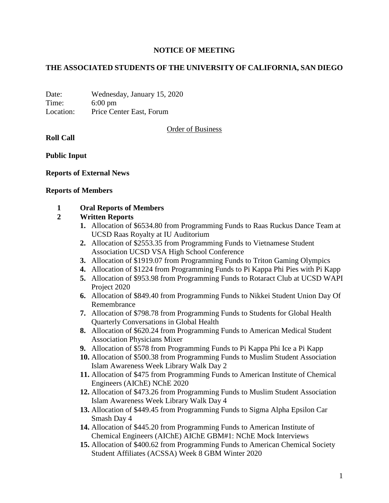# **NOTICE OF MEETING**

# **THE ASSOCIATED STUDENTS OF THE UNIVERSITY OF CALIFORNIA, SAN DIEGO**

Date: Wednesday, January 15, 2020 Time: 6:00 pm Location: Price Center East, Forum

Order of Business

**Roll Call**

**Public Input**

#### **Reports of External News**

#### **Reports of Members**

#### **1 Oral Reports of Members**

## **2 Written Reports**

- **1.** Allocation of \$6534.80 from Programming Funds to Raas Ruckus Dance Team at UCSD Raas Royalty at IU Auditorium
- **2.** Allocation of \$2553.35 from Programming Funds to Vietnamese Student Association UCSD VSA High School Conference
- **3.** Allocation of \$1919.07 from Programming Funds to Triton Gaming Olympics
- **4.** Allocation of \$1224 from Programming Funds to Pi Kappa Phi Pies with Pi Kapp
- **5.** Allocation of \$953.98 from Programming Funds to Rotaract Club at UCSD WAPI Project 2020
- **6.** Allocation of \$849.40 from Programming Funds to Nikkei Student Union Day Of Remembrance
- **7.** Allocation of \$798.78 from Programming Funds to Students for Global Health Quarterly Conversations in Global Health
- **8.** Allocation of \$620.24 from Programming Funds to American Medical Student Association Physicians Mixer
- **9.** Allocation of \$578 from Programming Funds to Pi Kappa Phi Ice a Pi Kapp
- **10.** Allocation of \$500.38 from Programming Funds to Muslim Student Association Islam Awareness Week Library Walk Day 2
- **11.** Allocation of \$475 from Programming Funds to American Institute of Chemical Engineers (AIChE) NChE 2020
- **12.** Allocation of \$473.26 from Programming Funds to Muslim Student Association Islam Awareness Week Library Walk Day 4
- **13.** Allocation of \$449.45 from Programming Funds to Sigma Alpha Epsilon Car Smash Day 4
- **14.** Allocation of \$445.20 from Programming Funds to American Institute of Chemical Engineers (AIChE) AIChE GBM#1: NChE Mock Interviews
- **15.** Allocation of \$400.62 from Programming Funds to American Chemical Society Student Affiliates (ACSSA) Week 8 GBM Winter 2020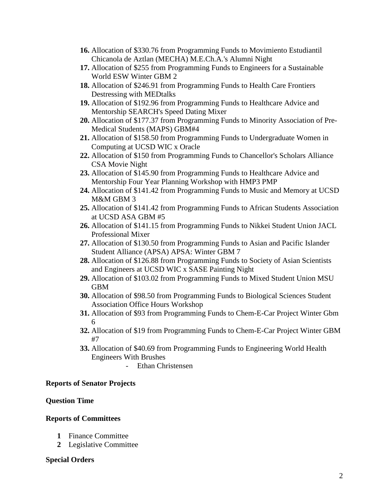- **16.** Allocation of \$330.76 from Programming Funds to Movimiento Estudiantil Chicanola de Aztlan (MECHA) M.E.Ch.A.'s Alumni Night
- **17.** Allocation of \$255 from Programming Funds to Engineers for a Sustainable World ESW Winter GBM 2
- **18.** Allocation of \$246.91 from Programming Funds to Health Care Frontiers Destressing with MEDtalks
- **19.** Allocation of \$192.96 from Programming Funds to Healthcare Advice and Mentorship SEARCH's Speed Dating Mixer
- **20.** Allocation of \$177.37 from Programming Funds to Minority Association of Pre-Medical Students (MAPS) GBM#4
- **21.** Allocation of \$158.50 from Programming Funds to Undergraduate Women in Computing at UCSD WIC x Oracle
- **22.** Allocation of \$150 from Programming Funds to Chancellor's Scholars Alliance CSA Movie Night
- **23.** Allocation of \$145.90 from Programming Funds to Healthcare Advice and Mentorship Four Year Planning Workshop with HMP3 PMP
- **24.** Allocation of \$141.42 from Programming Funds to Music and Memory at UCSD M&M GBM 3
- **25.** Allocation of \$141.42 from Programming Funds to African Students Association at UCSD ASA GBM #5
- **26.** Allocation of \$141.15 from Programming Funds to Nikkei Student Union JACL Professional Mixer
- **27.** Allocation of \$130.50 from Programming Funds to Asian and Pacific Islander Student Alliance (APSA) APSA: Winter GBM 7
- **28.** Allocation of \$126.88 from Programming Funds to Society of Asian Scientists and Engineers at UCSD WIC x SASE Painting Night
- **29.** Allocation of \$103.02 from Programming Funds to Mixed Student Union MSU GBM
- **30.** Allocation of \$98.50 from Programming Funds to Biological Sciences Student Association Office Hours Workshop
- **31.** Allocation of \$93 from Programming Funds to Chem-E-Car Project Winter Gbm 6
- **32.** Allocation of \$19 from Programming Funds to Chem-E-Car Project Winter GBM #7
- **33.** Allocation of \$40.69 from Programming Funds to Engineering World Health Engineers With Brushes
	- Ethan Christensen

### **Reports of Senator Projects**

### **Question Time**

### **Reports of Committees**

- **1** Finance Committee
- **2** Legislative Committee

### **Special Orders**